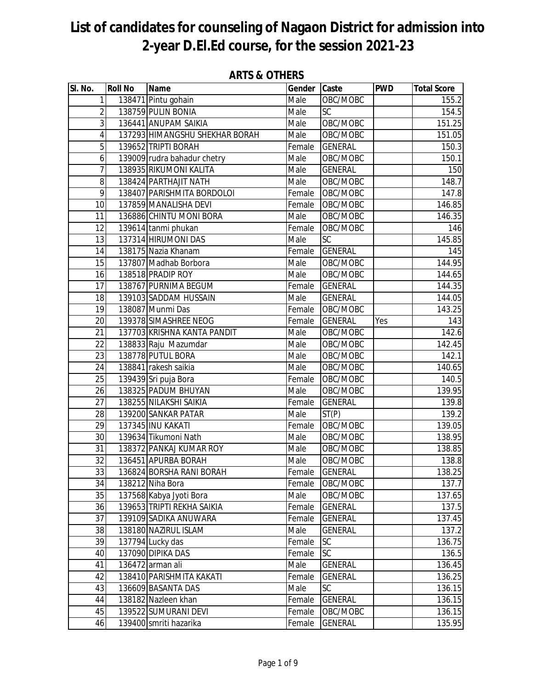| SI. No.                  | <b>Roll No</b> | <b>Name</b>                    | Gender | Caste           | <b>PWD</b> | <b>Total Score</b> |
|--------------------------|----------------|--------------------------------|--------|-----------------|------------|--------------------|
| $\mathbf{1}$             |                | 138471 Pintu gohain            | Male   | OBC/MOBC        |            | 155.2              |
| $\overline{2}$           |                | 138759 PULIN BONIA             | Male   | SC              |            | 154.5              |
| 3                        |                | 136441 ANUPAM SAIKIA           | Male   | OBC/MOBC        |            | 151.25             |
| $\overline{\mathcal{A}}$ |                | 137293 HIMANGSHU SHEKHAR BORAH | Male   | OBC/MOBC        |            | 151.05             |
| $\overline{5}$           |                | 139652 TRIPTI BORAH            | Female | <b>GENERAL</b>  |            | 150.3              |
| 6                        |                | 139009 rudra bahadur chetry    | Male   | OBC/MOBC        |            | 150.1              |
| 7                        |                | 138935 RIKUMONI KALITA         | Male   | <b>GENERAL</b>  |            | 150                |
| 8                        |                | 138424 PARTHAJIT NATH          | Male   | OBC/MOBC        |            | 148.7              |
| 9                        |                | 138407 PARISHMITA BORDOLOI     | Female | OBC/MOBC        |            | 147.8              |
| 10                       |                | 137859 MANALISHA DEVI          | Female | OBC/MOBC        |            | 146.85             |
| 11                       |                | 136886 CHINTU MONI BORA        | Male   | OBC/MOBC        |            | 146.35             |
| 12                       |                | 139614 tanmi phukan            | Female | OBC/MOBC        |            | 146                |
| 13                       |                | 137314 HIRUMONI DAS            | Male   | <b>SC</b>       |            | 145.85             |
| 14                       |                | 138175 Nazia Khanam            | Female | <b>GENERAL</b>  |            | 145                |
| 15                       |                | 137807 Madhab Borbora          | Male   | OBC/MOBC        |            | 144.95             |
| 16                       |                | 138518 PRADIP ROY              | Male   | OBC/MOBC        |            | 144.65             |
| 17                       |                | 138767 PURNIMA BEGUM           | Female | <b>GENERAL</b>  |            | 144.35             |
| 18                       |                | 139103 SADDAM HUSSAIN          | Male   | <b>GENERAL</b>  |            | 144.05             |
| 19                       |                | 138087 Munmi Das               | Female | OBC/MOBC        |            | 143.25             |
| 20                       |                | 139378 SIMASHREE NEOG          | Female | <b>GENERAL</b>  | Yes        | 143                |
| 21                       |                | 137703 KRISHNA KANTA PANDIT    | Male   | OBC/MOBC        |            | 142.6              |
| 22                       |                | 138833 Raju Mazumdar           | Male   | OBC/MOBC        |            | 142.45             |
| $\overline{23}$          |                | 138778 PUTUL BORA              | Male   | OBC/MOBC        |            | 142.1              |
| 24                       |                | 138841 rakesh saikia           | Male   | OBC/MOBC        |            | 140.65             |
| 25                       |                | 139439 Sri puja Bora           | Female | OBC/MOBC        |            | 140.5              |
| 26                       |                | 138325 PADUM BHUYAN            | Male   | OBC/MOBC        |            | 139.95             |
| 27                       |                | 138255 NILAKSHI SAIKIA         | Female | <b>GENERAL</b>  |            | 139.8              |
| 28                       |                | 139200 SANKAR PATAR            | Male   | ST(P)           |            | 139.2              |
| 29                       |                | 137345 INU KAKATI              | Female | OBC/MOBC        |            | 139.05             |
| 30                       |                | 139634 Tikumoni Nath           | Male   | OBC/MOBC        |            | 138.95             |
| 31                       |                | 138372 PANKAJ KUMAR ROY        | Male   | OBC/MOBC        |            | 138.85             |
| $\overline{32}$          |                | 136451 APURBA BORAH            | Male   | OBC/MOBC        |            | 138.8              |
| 33                       |                | 136824 BORSHA RANI BORAH       | Female | <b>GENERAL</b>  |            | 138.25             |
| 34                       |                | 138212 Niha Bora               | Female | OBC/MOBC        |            | 137.7              |
| 35                       |                | 137568 Kabya Jyoti Bora        | Male   | OBC/MOBC        |            | 137.65             |
| 36                       |                | 139653 TRIPTI REKHA SAIKIA     | Female | <b>GENERAL</b>  |            | 137.5              |
| 37                       |                | 139109 SADIKA ANUWARA          | Female | <b>GENERAL</b>  |            | 137.45             |
| 38                       |                | 138180 NAZIRUL ISLAM           | Male   | <b>GENERAL</b>  |            | 137.2              |
| 39                       |                | 137794 Lucky das               | Female | SC              |            | 136.75             |
| 40                       |                | 137090 DIPIKA DAS              | Female | $\overline{SC}$ |            | 136.5              |
| 41                       |                | 136472 arman ali               | Male   | <b>GENERAL</b>  |            | 136.45             |
| 42                       |                | 138410 PARISHMITA KAKATI       | Female | <b>GENERAL</b>  |            | 136.25             |
| 43                       |                | 136609 BASANTA DAS             | Male   | <b>SC</b>       |            | 136.15             |
| 44                       |                | 138182 Nazleen khan            | Female | <b>GENERAL</b>  |            | 136.15             |
| 45                       |                | 139522 SUMURANI DEVI           | Female | OBC/MOBC        |            | 136.15             |
| 46                       |                | 139400 smriti hazarika         | Female | <b>GENERAL</b>  |            | 135.95             |

### **ARTS & OTHERS**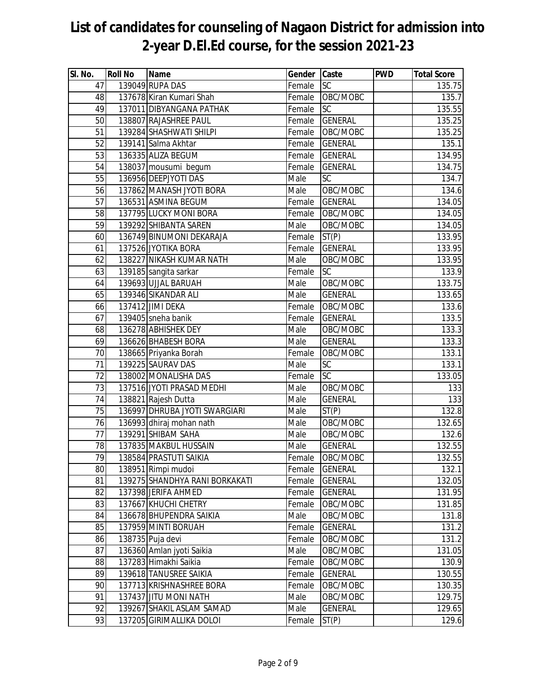| SI. No. | <b>Roll No</b> | <b>Name</b>                    | Gender Caste |                | <b>PWD</b> | <b>Total Score</b> |
|---------|----------------|--------------------------------|--------------|----------------|------------|--------------------|
| 47      |                | 139049 RUPA DAS                | Female       | <b>SC</b>      |            | 135.75             |
| 48      |                | 137678 Kiran Kumari Shah       | Female       | OBC/MOBC       |            | 135.7              |
| 49      |                | 137011 DIBYANGANA PATHAK       | Female       | SC             |            | 135.55             |
| 50      |                | 138807 RAJASHREE PAUL          | Female       | <b>GENERAL</b> |            | 135.25             |
| 51      |                | 139284 SHASHWATI SHILPI        | Female       | OBC/MOBC       |            | 135.25             |
| 52      |                | 139141 Salma Akhtar            | Female       | <b>GENERAL</b> |            | 135.1              |
| 53      |                | 136335 ALIZA BEGUM             | Female       | <b>GENERAL</b> |            | 134.95             |
| 54      |                | 138037 mousumi begum           | Female       | <b>GENERAL</b> |            | 134.75             |
| 55      |                | 136956 DEEPJYOTI DAS           | Male         | SC             |            | 134.7              |
| 56      |                | 137862 MANASH JYOTI BORA       | Male         | OBC/MOBC       |            | 134.6              |
| 57      |                | 136531 ASMINA BEGUM            | Female       | <b>GENERAL</b> |            | 134.05             |
| 58      |                | 137795 LUCKY MONI BORA         | Female       | OBC/MOBC       |            | 134.05             |
| 59      |                | 139292 SHIBANTA SAREN          | Male         | OBC/MOBC       |            | 134.05             |
| 60      |                | 136749 BINUMONI DEKARAJA       | Female       | ST(P)          |            | 133.95             |
| 61      |                | 137526 JYOTIKA BORA            | Female       | <b>GENERAL</b> |            | 133.95             |
| 62      |                | 138227 NIKASH KUMAR NATH       | Male         | OBC/MOBC       |            | 133.95             |
| 63      |                | 139185 sangita sarkar          | Female       | SC             |            | 133.9              |
| 64      |                | 139693 UJJAL BARUAH            | Male         | OBC/MOBC       |            | 133.75             |
| 65      |                | 139346 SIKANDAR ALI            | Male         | <b>GENERAL</b> |            | 133.65             |
| 66      |                | 137412 JIMI DEKA               | Female       | OBC/MOBC       |            | 133.6              |
| 67      |                | 139405 sneha banik             | Female       | <b>GENERAL</b> |            | 133.5              |
| 68      |                | 136278 ABHISHEK DEY            | Male         | OBC/MOBC       |            | 133.3              |
| 69      |                | 136626 BHABESH BORA            | Male         | <b>GENERAL</b> |            | 133.3              |
| 70      |                | 138665 Priyanka Borah          | Female       | OBC/MOBC       |            | 133.1              |
| 71      |                | 139225 SAURAV DAS              | Male         | SC             |            | 133.1              |
| 72      |                | 138002 MONALISHA DAS           | Female       | SC             |            | 133.05             |
| 73      |                | 137516 JYOTI PRASAD MEDHI      | Male         | OBC/MOBC       |            | 133                |
| 74      |                | 138821 Rajesh Dutta            | Male         | <b>GENERAL</b> |            | 133                |
| 75      |                | 136997 DHRUBA JYOTI SWARGIARI  | Male         | ST(P)          |            | 132.8              |
| 76      |                | 136993 dhiraj mohan nath       | Male         | OBC/MOBC       |            | 132.65             |
| 77      |                | 139291 SHIBAM SAHA             | Male         | OBC/MOBC       |            | 132.6              |
| 78      |                | 137835 MAKBUL HUSSAIN          | Male         | <b>GENERAL</b> |            | 132.55             |
| 79      |                | 138584 PRASTUTI SAIKIA         | Female       | OBC/MOBC       |            | 132.55             |
| 80      |                | 138951 Rimpi mudoi             | Female       | <b>GENERAL</b> |            | 132.1              |
| 81      |                | 139275 SHANDHYA RANI BORKAKATI | Female       | <b>GENERAL</b> |            | 132.05             |
| 82      |                | 137398 JERIFA AHMED            | Female       | <b>GENERAL</b> |            | 131.95             |
| 83      |                | 137667 KHUCHI CHETRY           | Female       | OBC/MOBC       |            | 131.85             |
| 84      |                | 136678 BHUPENDRA SAIKIA        | Male         | OBC/MOBC       |            | 131.8              |
| 85      |                | 137959 MINTI BORUAH            | Female       | <b>GENERAL</b> |            | 131.2              |
| 86      |                | 138735 Puja devi               | Female       | OBC/MOBC       |            | 131.2              |
| 87      |                | 136360 Amlan jyoti Saikia      | Male         | OBC/MOBC       |            | 131.05             |
| 88      |                | 137283 Himakhi Saikia          | Female       | OBC/MOBC       |            | 130.9              |
| 89      |                | 139618 TANUSREE SAIKIA         | Female       | <b>GENERAL</b> |            | 130.55             |
| 90      |                | 137713 KRISHNASHREE BORA       | Female       | OBC/MOBC       |            | 130.35             |
| 91      |                | 137437 JITU MONI NATH          | Male         | OBC/MOBC       |            | 129.75             |
| 92      |                | 139267 SHAKIL ASLAM SAMAD      | Male         | <b>GENERAL</b> |            | 129.65             |
| 93      |                | 137205 GIRIMALLIKA DOLOI       | Female       | ST(P)          |            | 129.6              |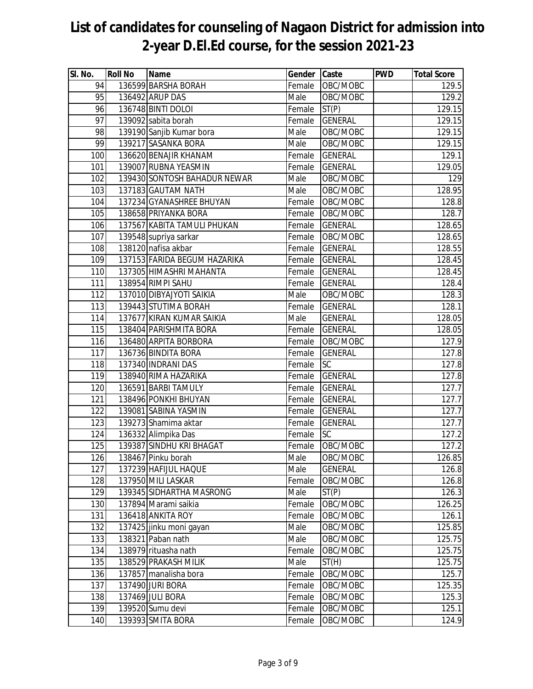| SI. No. | <b>Roll No</b> | Name                         | Gender Caste |                | <b>PWD</b> | <b>Total Score</b> |
|---------|----------------|------------------------------|--------------|----------------|------------|--------------------|
| 94      |                | 136599 BARSHA BORAH          | Female       | OBC/MOBC       |            | 129.5              |
| 95      |                | 136492 ARUP DAS              | Male         | OBC/MOBC       |            | 129.2              |
| 96      |                | 136748 BINTI DOLOI           | Female       | ST(P)          |            | 129.15             |
| 97      |                | 139092 sabita borah          | Female       | <b>GENERAL</b> |            | 129.15             |
| 98      |                | 139190 Sanjib Kumar bora     | Male         | OBC/MOBC       |            | 129.15             |
| 99      |                | 139217 SASANKA BORA          | Male         | OBC/MOBC       |            | 129.15             |
| 100     |                | 136620 BENAJIR KHANAM        | Female       | <b>GENERAL</b> |            | 129.1              |
| 101     |                | 139007 RUBNA YEASMIN         | Female       | <b>GENERAL</b> |            | 129.05             |
| 102     |                | 139430 SONTOSH BAHADUR NEWAR | Male         | OBC/MOBC       |            | 129                |
| 103     |                | 137183 GAUTAM NATH           | Male         | OBC/MOBC       |            | 128.95             |
| 104     |                | 137234 GYANASHREE BHUYAN     | Female       | OBC/MOBC       |            | 128.8              |
| 105     |                | 138658 PRIYANKA BORA         | Female       | OBC/MOBC       |            | 128.7              |
| 106     |                | 137567 KABITA TAMULI PHUKAN  | Female       | <b>GENERAL</b> |            | 128.65             |
| 107     |                | 139548 supriya sarkar        | Female       | OBC/MOBC       |            | 128.65             |
| 108     |                | 138120 nafisa akbar          | Female       | <b>GENERAL</b> |            | 128.55             |
| 109     |                | 137153 FARIDA BEGUM HAZARIKA | Female       | <b>GENERAL</b> |            | 128.45             |
| 110     |                | 137305 HIMASHRI MAHANTA      | Female       | <b>GENERAL</b> |            | 128.45             |
| 111     |                | 138954 RIMPI SAHU            | Female       | <b>GENERAL</b> |            | 128.4              |
| 112     |                | 137010 DIBYAJYOTI SAIKIA     | Male         | OBC/MOBC       |            | 128.3              |
| 113     |                | 139443 STUTIMA BORAH         | Female       | <b>GENERAL</b> |            | 128.1              |
| 114     |                | 137677 KIRAN KUMAR SAIKIA    | Male         | <b>GENERAL</b> |            | 128.05             |
| 115     |                | 138404 PARISHMITA BORA       | Female       | <b>GENERAL</b> |            | 128.05             |
| 116     |                | 136480 ARPITA BORBORA        | Female       | OBC/MOBC       |            | 127.9              |
| 117     |                | 136736 BINDITA BORA          | Female       | <b>GENERAL</b> |            | 127.8              |
| 118     |                | 137340 INDRANI DAS           | Female       | SC             |            | 127.8              |
| 119     |                | 138940 RIMA HAZARIKA         | Female       | <b>GENERAL</b> |            | 127.8              |
| 120     |                | 136591 BARBI TAMULY          | Female       | <b>GENERAL</b> |            | 127.7              |
| 121     |                | 138496 PONKHI BHUYAN         | Female       | <b>GENERAL</b> |            | 127.7              |
| 122     |                | 139081 SABINA YASMIN         | Female       | <b>GENERAL</b> |            | 127.7              |
| 123     |                | 139273 Shamima aktar         | Female       | <b>GENERAL</b> |            | 127.7              |
| 124     |                | 136332 Alimpika Das          | Female       | <b>SC</b>      |            | 127.2              |
| 125     |                | 139387 SINDHU KRI BHAGAT     | Female       | OBC/MOBC       |            | 127.2              |
| 126     |                | 138467 Pinku borah           | Male         | OBC/MOBC       |            | 126.85             |
| 127     |                | 137239 HAFIJUL HAQUE         | Male         | <b>GENERAL</b> |            | 126.8              |
| 128     |                | 137950 MILI LASKAR           | Female       | OBC/MOBC       |            | 126.8              |
| 129     |                | 139345 SIDHARTHA MASRONG     | Male         | ST(P)          |            | 126.3              |
| 130     |                | 137894 Marami saikia         | Female       | OBC/MOBC       |            | 126.25             |
| 131     |                | 136418 ANKITA ROY            | Female       | OBC/MOBC       |            | 126.1              |
| 132     |                | 137425 jinku moni gayan      | Male         | OBC/MOBC       |            | 125.85             |
| 133     |                | 138321 Paban nath            | Male         | OBC/MOBC       |            | 125.75             |
| 134     |                | 138979 rituasha nath         | Female       | OBC/MOBC       |            | 125.75             |
| 135     |                | 138529 PRAKASH MILIK         | Male         | ST(H)          |            | 125.75             |
| 136     |                | 137857 manalisha bora        | Female       | OBC/MOBC       |            | 125.7              |
| 137     |                | 137490 JURI BORA             | Female       | OBC/MOBC       |            | 125.35             |
| 138     |                | 137469 JULI BORA             | Female       | OBC/MOBC       |            | 125.3              |
| 139     |                | 139520 Sumu devi             | Female       | OBC/MOBC       |            | 125.1              |
| 140     |                | 139393 SMITA BORA            | Female       | OBC/MOBC       |            | 124.9              |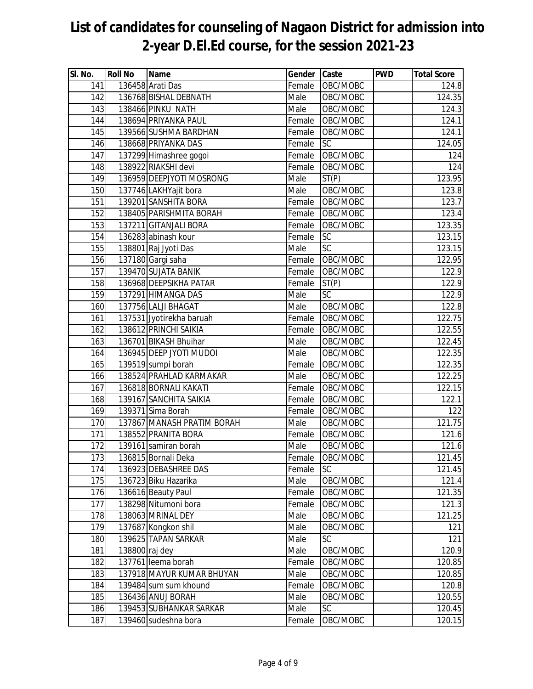| SI. No. | <b>Roll No</b> | Name                       | Gender Caste |                 | <b>PWD</b> | <b>Total Score</b> |
|---------|----------------|----------------------------|--------------|-----------------|------------|--------------------|
| 141     |                | 136458 Arati Das           | Female       | OBC/MOBC        |            | 124.8              |
| 142     |                | 136768 BISHAL DEBNATH      | Male         | OBC/MOBC        |            | 124.35             |
| 143     |                | 138466 PINKU NATH          | Male         | OBC/MOBC        |            | 124.3              |
| 144     |                | 138694 PRIYANKA PAUL       | Female       | OBC/MOBC        |            | 124.1              |
| 145     |                | 139566 SUSHMA BARDHAN      | Female       | OBC/MOBC        |            | 124.1              |
| 146     |                | 138668 PRIYANKA DAS        | Female       | SC              |            | 124.05             |
| 147     |                | 137299 Himashree gogoi     | Female       | OBC/MOBC        |            | 124                |
| 148     |                | 138922 RIAKSHI devi        | Female       | OBC/MOBC        |            | 124                |
| 149     |                | 136959 DEEPJYOTI MOSRONG   | Male         | ST(P)           |            | 123.95             |
| 150     |                | 137746 LAKHYajit bora      | Male         | OBC/MOBC        |            | 123.8              |
| 151     |                | 139201 SANSHITA BORA       | Female       | OBC/MOBC        |            | 123.7              |
| 152     |                | 138405 PARISHMITA BORAH    | Female       | OBC/MOBC        |            | 123.4              |
| 153     |                | 137211 GITANJALI BORA      | Female       | OBC/MOBC        |            | 123.35             |
| 154     |                | 136283 abinash kour        | Female       | SC              |            | 123.15             |
| 155     |                | 138801 Raj Jyoti Das       | Male         | SC              |            | 123.15             |
| 156     |                | 137180 Gargi saha          | Female       | OBC/MOBC        |            | 122.95             |
| 157     |                | 139470 SUJATA BANIK        | Female       | OBC/MOBC        |            | 122.9              |
| 158     |                | 136968 DEEPSIKHA PATAR     | Female       | ST(P)           |            | 122.9              |
| 159     |                | 137291 HIMANGA DAS         | Male         | <b>SC</b>       |            | 122.9              |
| 160     |                | 137756 LALJI BHAGAT        | Male         | OBC/MOBC        |            | 122.8              |
| 161     |                | 137531 Jyotirekha baruah   | Female       | OBC/MOBC        |            | 122.75             |
| 162     |                | 138612 PRINCHI SAIKIA      | Female       | OBC/MOBC        |            | 122.55             |
| 163     |                | 136701 BIKASH Bhuihar      | Male         | OBC/MOBC        |            | 122.45             |
| 164     |                | 136945 DEEP JYOTI MUDOI    | Male         | OBC/MOBC        |            | 122.35             |
| 165     |                | 139519 sumpi borah         | Female       | OBC/MOBC        |            | 122.35             |
| 166     |                | 138524 PRAHLAD KARMAKAR    | Male         | OBC/MOBC        |            | 122.25             |
| 167     |                | 136818 BORNALI KAKATI      | Female       | OBC/MOBC        |            | 122.15             |
| 168     |                | 139167 SANCHITA SAIKIA     | Female       | OBC/MOBC        |            | 122.1              |
| 169     |                | 139371 Sima Borah          | Female       | OBC/MOBC        |            | 122                |
| 170     |                | 137867 MANASH PRATIM BORAH | Male         | OBC/MOBC        |            | 121.75             |
| 171     |                | 138552 PRANITA BORA        | Female       | OBC/MOBC        |            | 121.6              |
| 172     |                | 139161 samiran borah       | Male         | OBC/MOBC        |            | 121.6              |
| 173     |                | 136815 Bornali Deka        | Female       | OBC/MOBC        |            | 121.45             |
| 174     |                | 136923 DEBASHREE DAS       | Female       | SC              |            | 121.45             |
| 175     |                | 136723 Biku Hazarika       | Male         | OBC/MOBC        |            | 121.4              |
| 176     |                | 136616 Beauty Paul         | Female       | OBC/MOBC        |            | 121.35             |
| 177     |                | 138298 Nitumoni bora       | Female       | OBC/MOBC        |            | 121.3              |
| 178     |                | 138063 MRINAL DEY          | Male         | OBC/MOBC        |            | 121.25             |
| 179     |                | 137687 Kongkon shil        | Male         | OBC/MOBC        |            | 121                |
| 180     |                | 139625 TAPAN SARKAR        | Male         | SC              |            | 121                |
| 181     | 138800 raj dey |                            | Male         | OBC/MOBC        |            | 120.9              |
| 182     |                | 137761 leema borah         | Female       | OBC/MOBC        |            | 120.85             |
| 183     |                | 137918 MAYUR KUMAR BHUYAN  | Male         | OBC/MOBC        |            | 120.85             |
| 184     |                | 139484 sum sum khound      | Female       | OBC/MOBC        |            | 120.8              |
| 185     |                | 136436 ANUJ BORAH          | Male         | OBC/MOBC        |            | 120.55             |
| 186     |                | 139453 SUBHANKAR SARKAR    | Male         | $\overline{SC}$ |            | 120.45             |
| 187     |                | 139460 sudeshna bora       | Female       | OBC/MOBC        |            | 120.15             |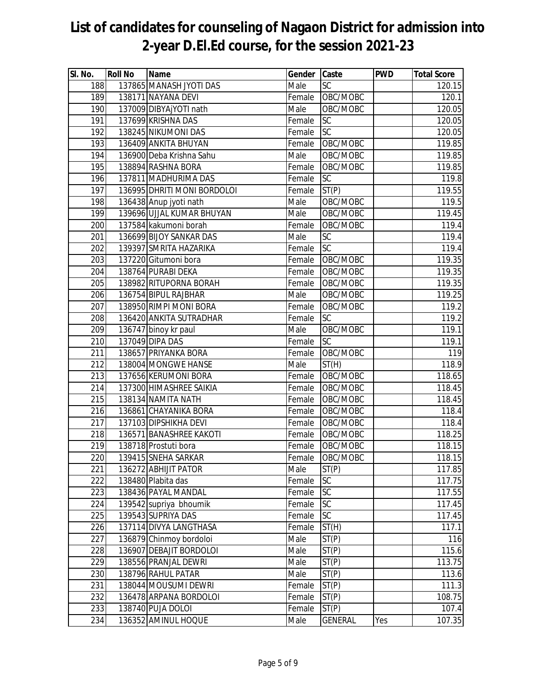| SI. No.          | <b>Roll No</b> | Name                        | Gender Caste |                | <b>PWD</b> | <b>Total Score</b> |
|------------------|----------------|-----------------------------|--------------|----------------|------------|--------------------|
| 188              |                | 137865 MANASH JYOTI DAS     | Male         | SC             |            | 120.15             |
| 189              |                | 138171 NAYANA DEVI          | Female       | OBC/MOBC       |            | 120.1              |
| 190              |                | 137009 DIBYAjYOTI nath      | Male         | OBC/MOBC       |            | 120.05             |
| 191              |                | 137699 KRISHNA DAS          | Female       | SC             |            | 120.05             |
| 192              |                | 138245 NIKUMONI DAS         | Female       | SC             |            | 120.05             |
| 193              |                | 136409 ANKITA BHUYAN        | Female       | OBC/MOBC       |            | 119.85             |
| $\overline{194}$ |                | 136900 Deba Krishna Sahu    | Male         | OBC/MOBC       |            | 119.85             |
| 195              |                | 138894 RASHNA BORA          | Female       | OBC/MOBC       |            | 119.85             |
| 196              |                | 137811 MADHURIMA DAS        | Female       | SC             |            | 119.8              |
| 197              |                | 136995 DHRITI MONI BORDOLOI | Female       | ST(P)          |            | 119.55             |
| 198              |                | 136438 Anup jyoti nath      | Male         | OBC/MOBC       |            | 119.5              |
| 199              |                | 139696 UJJAL KUMAR BHUYAN   | Male         | OBC/MOBC       |            | 119.45             |
| 200              |                | 137584 kakumoni borah       | Female       | OBC/MOBC       |            | 119.4              |
| 201              |                | 136699 BIJOY SANKAR DAS     | Male         | SC             |            | 119.4              |
| 202              |                | 139397 SMRITA HAZARIKA      | Female       | SC             |            | 119.4              |
| 203              |                | 137220 Gitumoni bora        | Female       | OBC/MOBC       |            | 119.35             |
| 204              |                | 138764 PURABI DEKA          | Female       | OBC/MOBC       |            | 119.35             |
| 205              |                | 138982 RITUPORNA BORAH      | Female       | OBC/MOBC       |            | 119.35             |
| 206              |                | 136754 BIPUL RAJBHAR        | Male         | OBC/MOBC       |            | 119.25             |
| 207              |                | 138950 RIMPI MONI BORA      | Female       | OBC/MOBC       |            | 119.2              |
| 208              |                | 136420 ANKITA SUTRADHAR     | Female       | SC             |            | 119.2              |
| 209              |                | 136747 binoy kr paul        | Male         | OBC/MOBC       |            | 119.1              |
| 210              |                | 137049 DIPA DAS             | Female       | SC             |            | 119.1              |
| 211              |                | 138657 PRIYANKA BORA        | Female       | OBC/MOBC       |            | 119                |
| 212              |                | 138004 MONGWE HANSE         | Male         | ST(H)          |            | 118.9              |
| 213              |                | 137656 KERUMONI BORA        | Female       | OBC/MOBC       |            | 118.65             |
| 214              |                | 137300 HIMASHREE SAIKIA     | Female       | OBC/MOBC       |            | 118.45             |
| 215              |                | 138134 NAMITA NATH          | Female       | OBC/MOBC       |            | 118.45             |
| 216              |                | 136861 CHAYANIKA BORA       | Female       | OBC/MOBC       |            | 118.4              |
| 217              |                | 137103 DIPSHIKHA DEVI       | Female       | OBC/MOBC       |            | 118.4              |
| 218              |                | 136571 BANASHREE KAKOTI     | Female       | OBC/MOBC       |            | 118.25             |
| 219              |                | 138718 Prostuti bora        | Female       | OBC/MOBC       |            | 118.15             |
| 220              |                | 139415 SNEHA SARKAR         | Female       | OBC/MOBC       |            | 118.15             |
| 221              |                | 136272 ABHIJIT PATOR        | Male         | ST(P)          |            | 117.85             |
| 222              |                | 138480 Plabita das          | Female       | <b>SC</b>      |            | 117.75             |
| 223              |                | 138436 PAYAL MANDAL         | Female       | SC             |            | 117.55             |
| 224              |                | 139542 supriya bhoumik      | Female       | SC             |            | 117.45             |
| 225              |                | 139543 SUPRIYA DAS          | Female       | SC             |            | 117.45             |
| 226              |                | 137114 DIVYA LANGTHASA      | Female       | ST(H)          |            | 117.1              |
| 227              |                | 136879 Chinmoy bordoloi     | Male         | ST(P)          |            | 116                |
| 228              |                | 136907 DEBAJIT BORDOLOI     | Male         | ST(P)          |            | 115.6              |
| 229              |                | 138556 PRANJAL DEWRI        | Male         | ST(P)          |            | 113.75             |
| 230              |                | 138796 RAHUL PATAR          | Male         | ST(P)          |            | 113.6              |
| 231              |                | 138044 MOUSUMI DEWRI        | Female       | ST(P)          |            | 111.3              |
| 232              |                | 136478 ARPANA BORDOLOI      | Female       | ST(P)          |            | 108.75             |
| 233              |                | 138740 PUJA DOLOI           | Female       | ST(P)          |            | 107.4              |
| 234              |                | 136352 AMINUL HOQUE         | Male         | <b>GENERAL</b> | Yes        | 107.35             |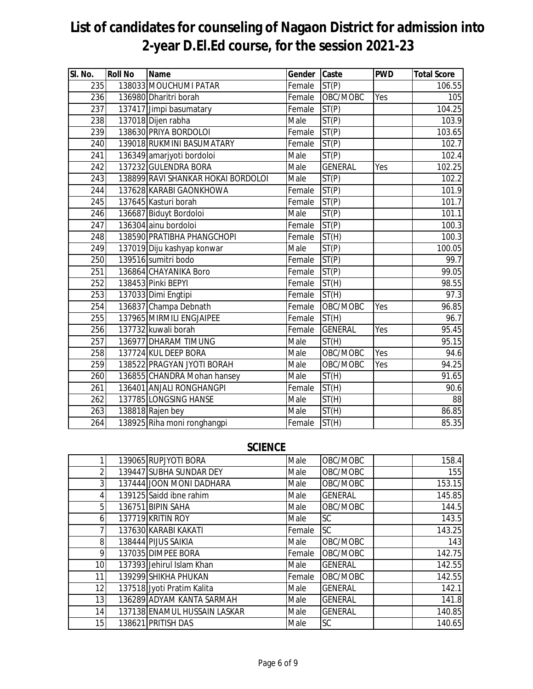| SI. No.          | <b>Roll No</b> | Name                               | Gender Caste |                    | <b>PWD</b> | <b>Total Score</b> |
|------------------|----------------|------------------------------------|--------------|--------------------|------------|--------------------|
| 235              |                | 138033 MOUCHUMI PATAR              | Female       | ST(P)              |            | 106.55             |
| 236              |                | 136980 Dharitri borah              | Female       | OBC/MOBC           | Yes        | 105                |
| 237              |                | 137417 Jimpi basumatary            | Female       | ST(P)              |            | 104.25             |
| $\overline{238}$ |                | 137018 Dijen rabha                 | Male         | ST(P)              |            | 103.9              |
| 239              |                | 138630 PRIYA BORDOLOI              | Female       | ST(P)              |            | 103.65             |
| 240              |                | 139018 RUKMINI BASUMATARY          | Female       | ST(P)              |            | 102.7              |
| 241              |                | 136349 amarjyoti bordoloi          | Male         | ST(P)              |            | 102.4              |
| 242              |                | 137232 GULENDRA BORA               | Male         | <b>GENERAL</b>     | Yes        | 102.25             |
| 243              |                | 138899 RAVI SHANKAR HOKAI BORDOLOI | Male         | ST(P)              |            | 102.2              |
| 244              |                | 137628 KARABI GAONKHOWA            | Female       | ST(P)              |            | 101.9              |
| 245              |                | 137645 Kasturi borah               | Female       | ST(P)              |            | 101.7              |
| 246              |                | 136687 Biduyt Bordoloi             | Male         | ST(P)              |            | 101.1              |
| 247              |                | 136304 ainu bordoloi               | Female       | ST(P)              |            | 100.3              |
| 248              |                | 138590 PRATIBHA PHANGCHOPI         | Female       | ST(H)              |            | 100.3              |
| 249              |                | 137019 Diju kashyap konwar         | Male         | ST(P)              |            | 100.05             |
| 250              |                | 139516 sumitri bodo                | Female       | $\overline{ST(P)}$ |            | 99.7               |
| 251              |                | 136864 CHAYANIKA Boro              | Female       | ST(P)              |            | 99.05              |
| 252              |                | 138453 Pinki BEPYI                 | Female       | ST(H)              |            | 98.55              |
| 253              |                | 137033 Dimi Engtipi                | Female       | ST(H)              |            | 97.3               |
| 254              |                | 136837 Champa Debnath              | Female       | OBC/MOBC           | Yes        | 96.85              |
| 255              |                | 137965 MIRMILI ENGJAIPEE           | Female       | ST(H)              |            | 96.7               |
| 256              |                | 137732 kuwali borah                | Female       | <b>GENERAL</b>     | Yes        | 95.45              |
| 257              |                | 136977 DHARAM TIMUNG               | Male         | ST(H)              |            | 95.15              |
| 258              |                | 137724 KUL DEEP BORA               | Male         | OBC/MOBC           | Yes        | 94.6               |
| 259              |                | 138522 PRAGYAN JYOTI BORAH         | Male         | OBC/MOBC           | Yes        | 94.25              |
| 260              |                | 136855 CHANDRA Mohan hansey        | Male         | ST(H)              |            | 91.65              |
| 261              |                | 136401 ANJALI RONGHANGPI           | Female       | ST(H)              |            | 90.6               |
| 262              |                | 137785 LONGSING HANSE              | Male         | ST(H)              |            | 88                 |
| 263              |                | 138818 Rajen bey                   | Male         | ST(H)              |            | 86.85              |
| 264              |                | 138925 Riha moni ronghangpi        | Female       | ST(H)              |            | 85.35              |

### **SCIENCE**

|                 | 139065 RUPJYOTI BORA         | Male   | OBC/MOBC       | 158.4  |
|-----------------|------------------------------|--------|----------------|--------|
| 2               | 139447 SUBHA SUNDAR DEY      | Male   | OBC/MOBC       | 155    |
| $\overline{3}$  | 137444 JOON MONI DADHARA     | Male   | OBC/MOBC       | 153.15 |
| 4               | 139125 Saidd ibne rahim      | Male   | <b>GENERAL</b> | 145.85 |
| 5               | 136751 BIPIN SAHA            | Male   | OBC/MOBC       | 144.5  |
| 6               | 137719 KRITIN ROY            | Male   | <b>SC</b>      | 143.5  |
|                 | 137630 KARABI KAKATI         | Female | SC             | 143.25 |
| 8               | 138444 PIJUS SAIKIA          | Male   | OBC/MOBC       | 143    |
| 9               | 137035 DIMPEE BORA           | Female | OBC/MOBC       | 142.75 |
| 10 <sup>1</sup> | 137393 Jehirul Islam Khan    | Male   | <b>GENERAL</b> | 142.55 |
| 11              | 139299 SHIKHA PHUKAN         | Female | OBC/MOBC       | 142.55 |
| 12              | 137518 Jyoti Pratim Kalita   | Male   | <b>GENERAL</b> | 142.1  |
| 13              | 136289 ADYAM KANTA SARMAH    | Male   | <b>GENERAL</b> | 141.8  |
| 14              | 137138 ENAMUL HUSSAIN LASKAR | Male   | <b>GENERAL</b> | 140.85 |
| 15              | 138621 PRITISH DAS           | Male   | SC             | 140.65 |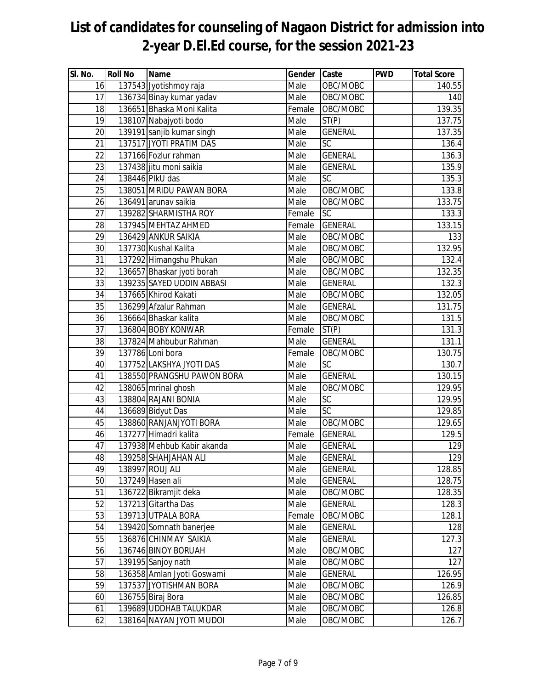| $\overline{\mathsf{SI}}$ . No. | <b>Roll No</b> | <b>Name</b>                | Gender | Caste           | <b>PWD</b> | <b>Total Score</b> |
|--------------------------------|----------------|----------------------------|--------|-----------------|------------|--------------------|
| 16                             |                | 137543 Jyotishmoy raja     | Male   | OBC/MOBC        |            | 140.55             |
| 17                             |                | 136734 Binay kumar yadav   | Male   | OBC/MOBC        |            | 140                |
| 18                             |                | 136651 Bhaska Moni Kalita  | Female | OBC/MOBC        |            | 139.35             |
| 19                             |                | 138107 Nabajyoti bodo      | Male   | ST(P)           |            | 137.75             |
| 20                             |                | 139191 sanjib kumar singh  | Male   | <b>GENERAL</b>  |            | 137.35             |
| 21                             |                | 137517 JYOTI PRATIM DAS    | Male   | $\overline{SC}$ |            | 136.4              |
| 22                             |                | 137166 Fozlur rahman       | Male   | <b>GENERAL</b>  |            | 136.3              |
| 23                             |                | 137438 jitu moni saikia    | Male   | <b>GENERAL</b>  |            | 135.9              |
| 24                             |                | 138446 PlkU das            | Male   | SC              |            | 135.3              |
| 25                             |                | 138051 MRIDU PAWAN BORA    | Male   | OBC/MOBC        |            | 133.8              |
| 26                             |                | 136491 arunav saikia       | Male   | OBC/MOBC        |            | 133.75             |
| 27                             |                | 139282 SHARMISTHA ROY      | Female | SC              |            | 133.3              |
| 28                             |                | 137945 MEHTAZ AHMED        | Female | <b>GENERAL</b>  |            | 133.15             |
| 29                             |                | 136429 ANKUR SAIKIA        | Male   | OBC/MOBC        |            | 133                |
| 30                             |                | 137730 Kushal Kalita       | Male   | OBC/MOBC        |            | 132.95             |
| 31                             |                | 137292 Himangshu Phukan    | Male   | OBC/MOBC        |            | 132.4              |
| 32                             |                | 136657 Bhaskar jyoti borah | Male   | OBC/MOBC        |            | 132.35             |
| 33                             |                | 139235 SAYED UDDIN ABBASI  | Male   | <b>GENERAL</b>  |            | 132.3              |
| 34                             |                | 137665 Khirod Kakati       | Male   | OBC/MOBC        |            | 132.05             |
| 35                             |                | 136299 Afzalur Rahman      | Male   | <b>GENERAL</b>  |            | 131.75             |
| 36                             |                | 136664 Bhaskar kalita      | Male   | OBC/MOBC        |            | 131.5              |
| 37                             |                | 136804 BOBY KONWAR         | Female | ST(P)           |            | 131.3              |
| 38                             |                | 137824 Mahbubur Rahman     | Male   | <b>GENERAL</b>  |            | 131.1              |
| 39                             |                | 137786 Loni bora           | Female | OBC/MOBC        |            | 130.75             |
| 40                             |                | 137752 LAKSHYA JYOTI DAS   | Male   | $\overline{SC}$ |            | 130.7              |
| 41                             |                | 138550 PRANGSHU PAWON BORA | Male   | <b>GENERAL</b>  |            | 130.15             |
| 42                             |                | 138065 mrinal ghosh        | Male   | OBC/MOBC        |            | 129.95             |
| 43                             |                | 138804 RAJANI BONIA        | Male   | $\overline{SC}$ |            | 129.95             |
| 44                             |                | 136689 Bidyut Das          | Male   | $\overline{SC}$ |            | 129.85             |
| 45                             |                | 138860 RANJANJYOTI BORA    | Male   | OBC/MOBC        |            | 129.65             |
| 46                             |                | 137277 Himadri kalita      | Female | <b>GENERAL</b>  |            | 129.5              |
| 47                             |                | 137938 Mehbub Kabir akanda | Male   | <b>GENERAL</b>  |            | 129                |
| 48                             |                | 139258 SHAHJAHAN ALI       | Male   | <b>GENERAL</b>  |            | 129                |
| 49                             |                | 138997 ROUJ ALI            | Male   | <b>GENERAL</b>  |            | 128.85             |
| 50                             |                | 137249 Hasen ali           | Male   | <b>GENERAL</b>  |            | 128.75             |
| 51                             |                | 136722 Bikramjit deka      | Male   | OBC/MOBC        |            | 128.35             |
| 52                             |                | 137213 Gitartha Das        | Male   | <b>GENERAL</b>  |            | 128.3              |
| 53                             |                | 139713 UTPALA BORA         | Female | OBC/MOBC        |            | 128.1              |
| 54                             |                | 139420 Somnath banerjee    | Male   | <b>GENERAL</b>  |            | 128                |
| 55                             |                | 136876 CHINMAY SAIKIA      | Male   | <b>GENERAL</b>  |            | 127.3              |
| 56                             |                | 136746 BINOY BORUAH        | Male   | OBC/MOBC        |            | 127                |
| 57                             |                | 139195 Sanjoy nath         | Male   | OBC/MOBC        |            | 127                |
| 58                             |                | 136358 Amlan Jyoti Goswami | Male   | <b>GENERAL</b>  |            | 126.95             |
| 59                             |                | 137537 JYOTISHMAN BORA     | Male   | OBC/MOBC        |            | 126.9              |
| 60                             |                | 136755 Biraj Bora          | Male   | OBC/MOBC        |            | 126.85             |
| 61                             |                | 139689 UDDHAB TALUKDAR     | Male   | OBC/MOBC        |            | 126.8              |
| 62                             |                | 138164 NAYAN JYOTI MUDOI   | Male   | OBC/MOBC        |            | 126.7              |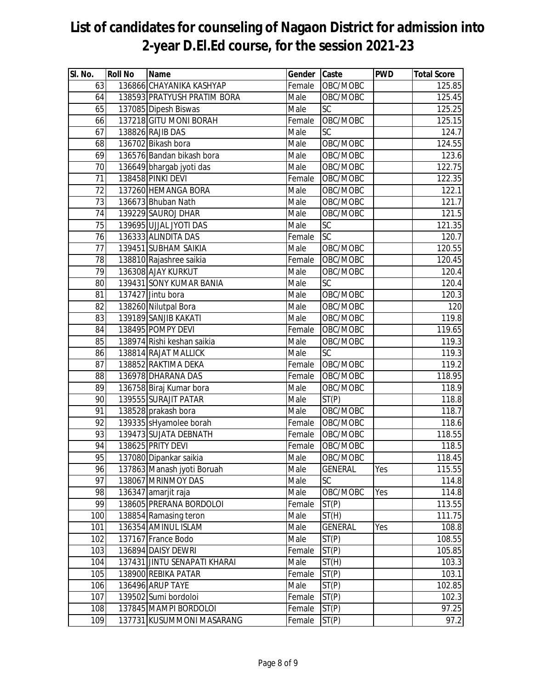| SI. No. | <b>Roll No</b> | <b>Name</b>                  | Gender Caste |                 | <b>PWD</b> | <b>Total Score</b> |
|---------|----------------|------------------------------|--------------|-----------------|------------|--------------------|
| 63      |                | 136866 CHAYANIKA KASHYAP     | Female       | OBC/MOBC        |            | 125.85             |
| 64      |                | 138593 PRATYUSH PRATIM BORA  | Male         | OBC/MOBC        |            | 125.45             |
| 65      |                | 137085 Dipesh Biswas         | Male         | SC              |            | 125.25             |
| 66      |                | 137218 GITU MONI BORAH       | Female       | OBC/MOBC        |            | 125.15             |
| 67      |                | 138826 RAJIB DAS             | Male         | SC              |            | 124.7              |
| 68      |                | 136702 Bikash bora           | Male         | OBC/MOBC        |            | 124.55             |
| 69      |                | 136576 Bandan bikash bora    | Male         | OBC/MOBC        |            | 123.6              |
| 70      |                | 136649 bhargab jyoti das     | Male         | OBC/MOBC        |            | 122.75             |
| 71      |                | 138458 PINKI DEVI            | Female       | OBC/MOBC        |            | 122.35             |
| 72      |                | 137260 HEMANGA BORA          | Male         | OBC/MOBC        |            | 122.1              |
| 73      |                | 136673 Bhuban Nath           | Male         | OBC/MOBC        |            | 121.7              |
| 74      |                | 139229 SAUROJ DHAR           | Male         | OBC/MOBC        |            | 121.5              |
| 75      |                | 139695 UJJAL JYOTI DAS       | Male         | SC              |            | 121.35             |
| 76      |                | 136333 ALINDITA DAS          | Female       | $\overline{SC}$ |            | 120.7              |
| 77      |                | 139451 SUBHAM SAIKIA         | Male         | OBC/MOBC        |            | 120.55             |
| 78      |                | 138810 Rajashree saikia      | Female       | OBC/MOBC        |            | 120.45             |
| 79      |                | 136308 AJAY KURKUT           | Male         | OBC/MOBC        |            | 120.4              |
| 80      |                | 139431 SONY KUMAR BANIA      | Male         | SC              |            | 120.4              |
| 81      |                | 137427 Jintu bora            | Male         | OBC/MOBC        |            | 120.3              |
| 82      |                | 138260 Nilutpal Bora         | Male         | OBC/MOBC        |            | 120                |
| 83      |                | 139189 SANJIB KAKATI         | Male         | OBC/MOBC        |            | 119.8              |
| 84      |                | 138495 POMPY DEVI            | Female       | OBC/MOBC        |            | 119.65             |
| 85      |                | 138974 Rishi keshan saikia   | Male         | OBC/MOBC        |            | 119.3              |
| 86      |                | 138814 RAJAT MALLICK         | Male         | SC              |            | 119.3              |
| 87      |                | 138852 RAKTIMA DEKA          | Female       | OBC/MOBC        |            | 119.2              |
| 88      |                | 136978 DHARANA DAS           | Female       | OBC/MOBC        |            | 118.95             |
| 89      |                | 136758 Biraj Kumar bora      | Male         | OBC/MOBC        |            | 118.9              |
| 90      |                | 139555 SURAJIT PATAR         | Male         | ST(P)           |            | 118.8              |
| 91      |                | 138528 prakash bora          | Male         | OBC/MOBC        |            | 118.7              |
| 92      |                | 139335 sHyamolee borah       | Female       | OBC/MOBC        |            | 118.6              |
| 93      |                | 139473 SUJATA DEBNATH        | Female       | OBC/MOBC        |            | 118.55             |
| 94      |                | 138625 PRITY DEVI            | Female       | OBC/MOBC        |            | 118.5              |
| 95      |                | 137080 Dipankar saikia       | Male         | OBC/MOBC        |            | 118.45             |
| 96      |                | 137863 Manash jyoti Boruah   | Male         | <b>GENERAL</b>  | Yes        | 115.55             |
| 97      |                | 138067 MRINMOY DAS           | Male         | SC              |            | 114.8              |
| 98      |                | 136347 amarjit raja          | Male         | OBC/MOBC        | Yes        | 114.8              |
| 99      |                | 138605 PRERANA BORDOLOI      | Female       | ST(P)           |            | 113.55             |
| 100     |                | 138854 Ramasing teron        | Male         | ST(H)           |            | 111.75             |
| 101     |                | 136354 AMINUL ISLAM          | Male         | <b>GENERAL</b>  | Yes        | 108.8              |
| 102     |                | 137167 France Bodo           | Male         | ST(P)           |            | 108.55             |
| 103     |                | 136894 DAISY DEWRI           | Female       | ST(P)           |            | 105.85             |
| 104     |                | 137431 JINTU SENAPATI KHARAI | Male         | ST(H)           |            | 103.3              |
| 105     |                | 138900 REBIKA PATAR          | Female       | ST(P)           |            | 103.1              |
| 106     |                | 136496 ARUP TAYE             | Male         | ST(P)           |            | 102.85             |
| 107     |                | 139502 Sumi bordoloi         | Female       | ST(P)           |            | 102.3              |
| 108     |                | 137845 MAMPI BORDOLOI        | Female       | ST(P)           |            | 97.25              |
| 109     |                | 137731 KUSUMMONI MASARANG    | Female       | ST(P)           |            | 97.2               |